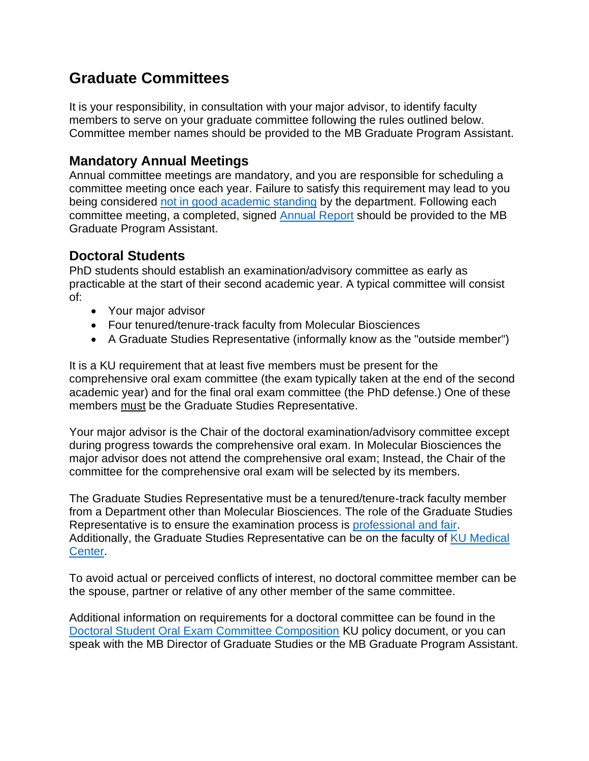## **Graduate Committees**

It is your responsibility, in consultation with your major advisor, to identify faculty members to serve on your graduate committee following the rules outlined below. Committee member names should be provided to the MB Graduate Program Assistant.

## **Mandatory Annual Meetings**

Annual committee meetings are mandatory, and you are responsible for scheduling a committee meeting once each year. Failure to satisfy this requirement may lead to you being considered [not in good academic standing](https://policy.ku.edu/graduate-studies/good-academic-standing) by the department. Following each committee meeting, a completed, signed [Annual Report](https://molecularbiosciences.ku.edu/current-graduate-students-0) should be provided to the MB Graduate Program Assistant.

## **Doctoral Students**

PhD students should establish an examination/advisory committee as early as practicable at the start of their second academic year. A typical committee will consist of:

- Your major advisor
- Four tenured/tenure-track faculty from Molecular Biosciences
- A Graduate Studies Representative (informally know as the "outside member")

It is a KU requirement that at least five members must be present for the comprehensive oral exam committee (the exam typically taken at the end of the second academic year) and for the final oral exam committee (the PhD defense.) One of these members must be the Graduate Studies Representative.

Your major advisor is the Chair of the doctoral examination/advisory committee except during progress towards the comprehensive oral exam. In Molecular Biosciences the major advisor does not attend the comprehensive oral exam; Instead, the Chair of the committee for the comprehensive oral exam will be selected by its members.

The Graduate Studies Representative must be a tenured/tenure-track faculty member from a Department other than Molecular Biosciences. The role of the Graduate Studies Representative is to ensure the examination process is [professional and fair.](http://policy.ku.edu/graduate-studies/graduate-studies-representative-on-doctoral-exam-committees) Additionally, the Graduate Studies Representative can be on the faculty of [KU Medical](https://policy.ku.edu/graduate-studies/graduate-faculty-appointments)  [Center.](https://policy.ku.edu/graduate-studies/graduate-faculty-appointments)

To avoid actual or perceived conflicts of interest, no doctoral committee member can be the spouse, partner or relative of any other member of the same committee.

Additional information on requirements for a doctoral committee can be found in the [Doctoral Student Oral Exam Committee Composition](https://policy.ku.edu/graduate-studies/doctoral-student-oral-exam-committee-composition) KU policy document, or you can speak with the MB Director of Graduate Studies or the MB Graduate Program Assistant.